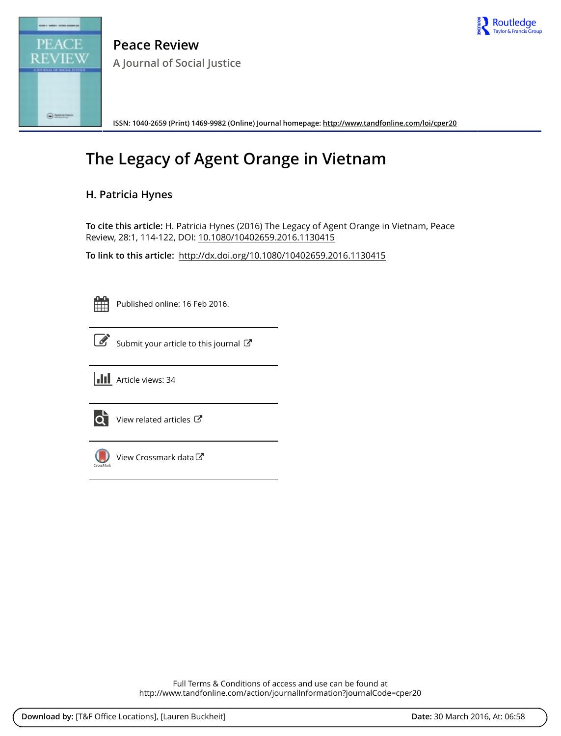

**Peace Review A Journal of Social Justice**

**ISSN: 1040-2659 (Print) 1469-9982 (Online) Journal homepage:<http://www.tandfonline.com/loi/cper20>**

## **The Legacy of Agent Orange in Vietnam**

## **H. Patricia Hynes**

**To cite this article:** H. Patricia Hynes (2016) The Legacy of Agent Orange in Vietnam, Peace Review, 28:1, 114-122, DOI: [10.1080/10402659.2016.1130415](http://www.tandfonline.com/action/showCitFormats?doi=10.1080/10402659.2016.1130415)

**To link to this article:** <http://dx.doi.org/10.1080/10402659.2016.1130415>

PEACE √IEW

 $\bigcirc$  beaches

RE)

Published online: 16 Feb 2016.



 $\overline{\mathscr{G}}$  [Submit your article to this journal](http://www.tandfonline.com/action/authorSubmission?journalCode=cper20&page=instructions)  $\mathscr{G}$ 



**III** Article views: 34



 $\overline{Q}$  [View related articles](http://www.tandfonline.com/doi/mlt/10.1080/10402659.2016.1130415)  $\mathbb{Z}$ 



[View Crossmark data](http://crossmark.crossref.org/dialog/?doi=10.1080/10402659.2016.1130415&domain=pdf&date_stamp=2016-02-16) $G$ 

Full Terms & Conditions of access and use can be found at <http://www.tandfonline.com/action/journalInformation?journalCode=cper20>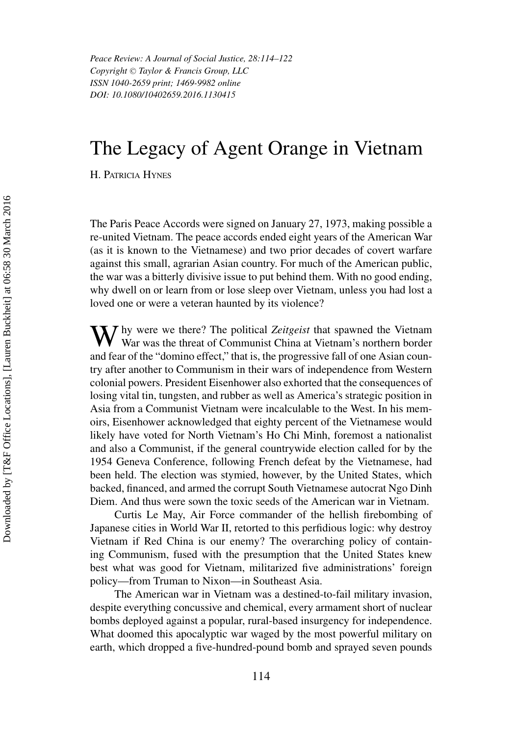*Peace Review: A Journal of Social Justice, 28:114–122* Copyright  $\odot$  *Taylor & Francis Group, LLC ISSN 1040-2659 print; 1469-9982 online DOI: 10.1080/10402659.2016.1130415*

## The Legacy of Agent Orange in Vietnam

H. PATRICIA HYNES

The Paris Peace Accords were signed on January 27, 1973, making possible a re-united Vietnam. The peace accords ended eight years of the American War (as it is known to the Vietnamese) and two prior decades of covert warfare against this small, agrarian Asian country. For much of the American public, the war was a bitterly divisive issue to put behind them. With no good ending, why dwell on or learn from or lose sleep over Vietnam, unless you had lost a loved one or were a veteran haunted by its violence?

W hy were we there? The political *Zeitgeist* that spawned the Vietnam War was the threat of Communist China at Vietnam's northern border and fear of the "domino effect," that is, the progressive fall of one Asian country after another to Communism in their wars of independence from Western colonial powers. President Eisenhower also exhorted that the consequences of losing vital tin, tungsten, and rubber as well as America's strategic position in Asia from a Communist Vietnam were incalculable to the West. In his memoirs, Eisenhower acknowledged that eighty percent of the Vietnamese would likely have voted for North Vietnam's Ho Chi Minh, foremost a nationalist and also a Communist, if the general countrywide election called for by the 1954 Geneva Conference, following French defeat by the Vietnamese, had been held. The election was stymied, however, by the United States, which backed, financed, and armed the corrupt South Vietnamese autocrat Ngo Dinh Diem. And thus were sown the toxic seeds of the American war in Vietnam.

Curtis Le May, Air Force commander of the hellish firebombing of Japanese cities in World War II, retorted to this perfidious logic: why destroy Vietnam if Red China is our enemy? The overarching policy of containing Communism, fused with the presumption that the United States knew best what was good for Vietnam, militarized five administrations' foreign policy—from Truman to Nixon—in Southeast Asia.

The American war in Vietnam was a destined-to-fail military invasion, despite everything concussive and chemical, every armament short of nuclear bombs deployed against a popular, rural-based insurgency for independence. What doomed this apocalyptic war waged by the most powerful military on earth, which dropped a five-hundred-pound bomb and sprayed seven pounds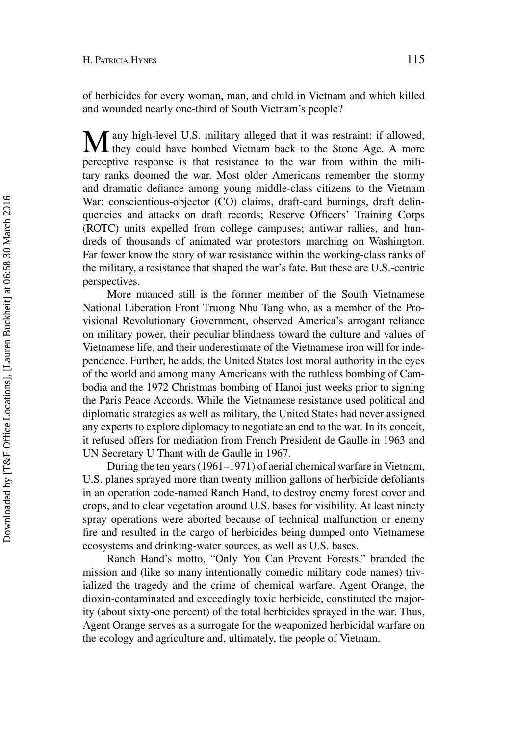of herbicides for every woman, man, and child in Vietnam and which killed and wounded nearly one-third of South Vietnam's people?

M any high-level U.S. military alleged that it was restraint: if allowed, they could have bombed Vietnam back to the Stone Age. A more perceptive response is that resistance to the war from within the military ranks doomed the war. Most older Americans remember the stormy and dramatic defiance among young middle-class citizens to the Vietnam War: conscientious-objector (CO) claims, draft-card burnings, draft delinquencies and attacks on draft records; Reserve Officers' Training Corps (ROTC) units expelled from college campuses; antiwar rallies, and hundreds of thousands of animated war protestors marching on Washington. Far fewer know the story of war resistance within the working-class ranks of the military, a resistance that shaped the war's fate. But these are U.S.-centric perspectives.

More nuanced still is the former member of the South Vietnamese National Liberation Front Truong Nhu Tang who, as a member of the Provisional Revolutionary Government, observed America's arrogant reliance on military power, their peculiar blindness toward the culture and values of Vietnamese life, and their underestimate of the Vietnamese iron will for independence. Further, he adds, the United States lost moral authority in the eyes of the world and among many Americans with the ruthless bombing of Cambodia and the 1972 Christmas bombing of Hanoi just weeks prior to signing the Paris Peace Accords. While the Vietnamese resistance used political and diplomatic strategies as well as military, the United States had never assigned any experts to explore diplomacy to negotiate an end to the war. In its conceit, it refused offers for mediation from French President de Gaulle in 1963 and UN Secretary U Thant with de Gaulle in 1967.

During the ten years (1961–1971) of aerial chemical warfare in Vietnam, U.S. planes sprayed more than twenty million gallons of herbicide defoliants in an operation code-named Ranch Hand, to destroy enemy forest cover and crops, and to clear vegetation around U.S. bases for visibility. At least ninety spray operations were aborted because of technical malfunction or enemy fire and resulted in the cargo of herbicides being dumped onto Vietnamese ecosystems and drinking-water sources, as well as U.S. bases.

Ranch Hand's motto, "Only You Can Prevent Forests," branded the mission and (like so many intentionally comedic military code names) trivialized the tragedy and the crime of chemical warfare. Agent Orange, the dioxin-contaminated and exceedingly toxic herbicide, constituted the majority (about sixty-one percent) of the total herbicides sprayed in the war. Thus, Agent Orange serves as a surrogate for the weaponized herbicidal warfare on the ecology and agriculture and, ultimately, the people of Vietnam.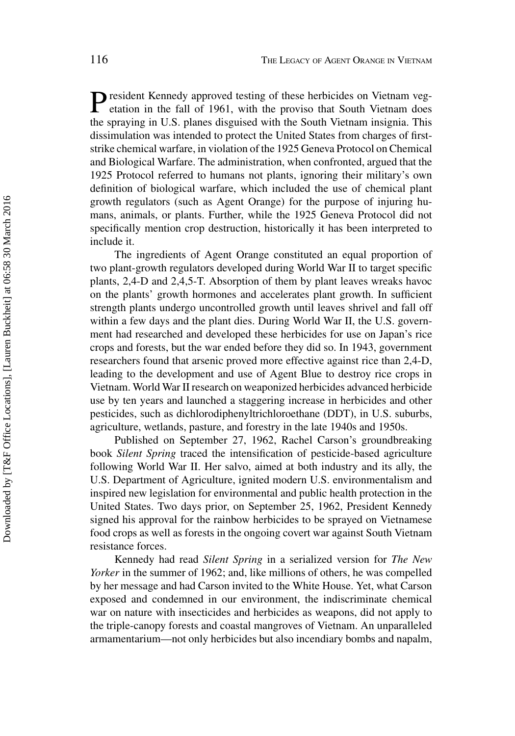**P** resident Kennedy approved testing of these herbicides on Vietnam veg-<br>etation in the fall of 1001 etation in the fall of 1961, with the proviso that South Vietnam does the spraying in U.S. planes disguised with the South Vietnam insignia. This dissimulation was intended to protect the United States from charges of firststrike chemical warfare, in violation of the 1925 Geneva Protocol on Chemical and Biological Warfare. The administration, when confronted, argued that the 1925 Protocol referred to humans not plants, ignoring their military's own definition of biological warfare, which included the use of chemical plant growth regulators (such as Agent Orange) for the purpose of injuring humans, animals, or plants. Further, while the 1925 Geneva Protocol did not specifically mention crop destruction, historically it has been interpreted to include it.

The ingredients of Agent Orange constituted an equal proportion of two plant-growth regulators developed during World War II to target specific plants, 2,4-D and 2,4,5-T. Absorption of them by plant leaves wreaks havoc on the plants' growth hormones and accelerates plant growth. In sufficient strength plants undergo uncontrolled growth until leaves shrivel and fall off within a few days and the plant dies. During World War II, the U.S. government had researched and developed these herbicides for use on Japan's rice crops and forests, but the war ended before they did so. In 1943, government researchers found that arsenic proved more effective against rice than 2,4-D, leading to the development and use of Agent Blue to destroy rice crops in Vietnam. World War II research on weaponized herbicides advanced herbicide use by ten years and launched a staggering increase in herbicides and other pesticides, such as dichlorodiphenyltrichloroethane (DDT), in U.S. suburbs, agriculture, wetlands, pasture, and forestry in the late 1940s and 1950s.

Published on September 27, 1962, Rachel Carson's groundbreaking book *Silent Spring* traced the intensification of pesticide-based agriculture following World War II. Her salvo, aimed at both industry and its ally, the U.S. Department of Agriculture, ignited modern U.S. environmentalism and inspired new legislation for environmental and public health protection in the United States. Two days prior, on September 25, 1962, President Kennedy signed his approval for the rainbow herbicides to be sprayed on Vietnamese food crops as well as forests in the ongoing covert war against South Vietnam resistance forces.

Kennedy had read *Silent Spring* in a serialized version for *The New Yorker* in the summer of 1962; and, like millions of others, he was compelled by her message and had Carson invited to the White House. Yet, what Carson exposed and condemned in our environment, the indiscriminate chemical war on nature with insecticides and herbicides as weapons, did not apply to the triple-canopy forests and coastal mangroves of Vietnam. An unparalleled armamentarium—not only herbicides but also incendiary bombs and napalm,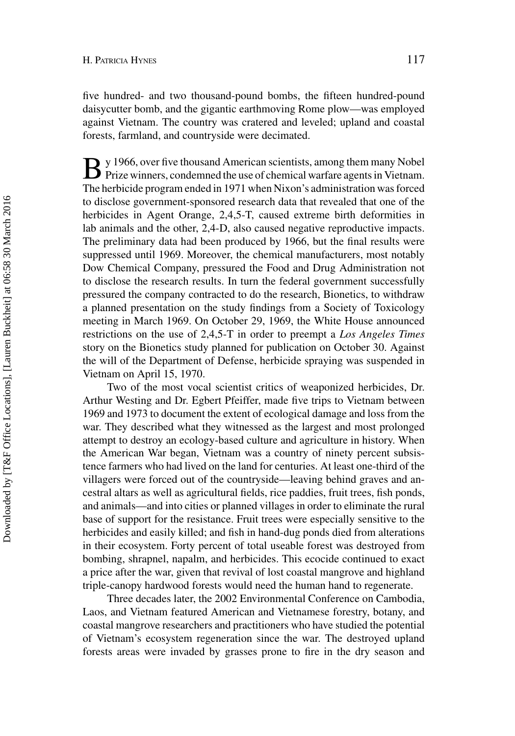five hundred- and two thousand-pound bombs, the fifteen hundred-pound daisycutter bomb, and the gigantic earthmoving Rome plow—was employed against Vietnam. The country was cratered and leveled; upland and coastal forests, farmland, and countryside were decimated.

By 1966, over five thousand American scientists, among them many Nobel<br>Prize winners, condemned the use of chemical warfare agents in Vietnam. The herbicide program ended in 1971 when Nixon's administration was forced to disclose government-sponsored research data that revealed that one of the herbicides in Agent Orange, 2,4,5-T, caused extreme birth deformities in lab animals and the other, 2,4-D, also caused negative reproductive impacts. The preliminary data had been produced by 1966, but the final results were suppressed until 1969. Moreover, the chemical manufacturers, most notably Dow Chemical Company, pressured the Food and Drug Administration not to disclose the research results. In turn the federal government successfully pressured the company contracted to do the research, Bionetics, to withdraw a planned presentation on the study findings from a Society of Toxicology meeting in March 1969. On October 29, 1969, the White House announced restrictions on the use of 2,4,5-T in order to preempt a *Los Angeles Times* story on the Bionetics study planned for publication on October 30. Against the will of the Department of Defense, herbicide spraying was suspended in Vietnam on April 15, 1970.

Two of the most vocal scientist critics of weaponized herbicides, Dr. Arthur Westing and Dr. Egbert Pfeiffer, made five trips to Vietnam between 1969 and 1973 to document the extent of ecological damage and loss from the war. They described what they witnessed as the largest and most prolonged attempt to destroy an ecology-based culture and agriculture in history. When the American War began, Vietnam was a country of ninety percent subsistence farmers who had lived on the land for centuries. At least one-third of the villagers were forced out of the countryside—leaving behind graves and ancestral altars as well as agricultural fields, rice paddies, fruit trees, fish ponds, and animals—and into cities or planned villages in order to eliminate the rural base of support for the resistance. Fruit trees were especially sensitive to the herbicides and easily killed; and fish in hand-dug ponds died from alterations in their ecosystem. Forty percent of total useable forest was destroyed from bombing, shrapnel, napalm, and herbicides. This ecocide continued to exact a price after the war, given that revival of lost coastal mangrove and highland triple-canopy hardwood forests would need the human hand to regenerate.

Three decades later, the 2002 Environmental Conference on Cambodia, Laos, and Vietnam featured American and Vietnamese forestry, botany, and coastal mangrove researchers and practitioners who have studied the potential of Vietnam's ecosystem regeneration since the war. The destroyed upland forests areas were invaded by grasses prone to fire in the dry season and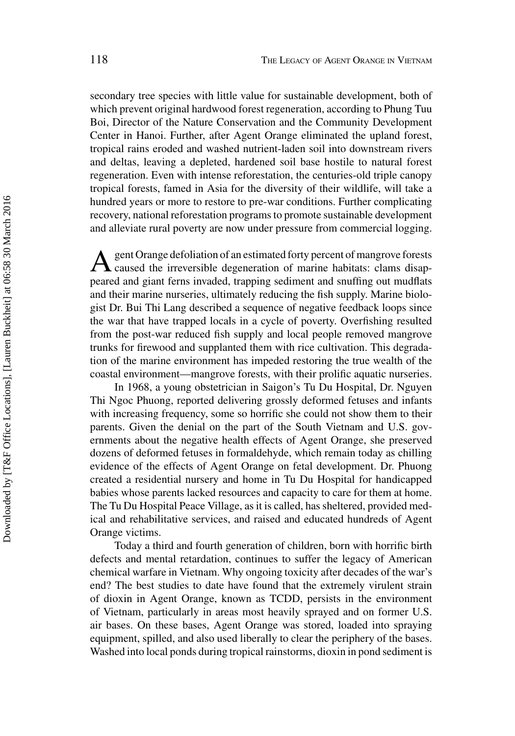secondary tree species with little value for sustainable development, both of which prevent original hardwood forest regeneration, according to Phung Tuu Boi, Director of the Nature Conservation and the Community Development Center in Hanoi. Further, after Agent Orange eliminated the upland forest, tropical rains eroded and washed nutrient-laden soil into downstream rivers and deltas, leaving a depleted, hardened soil base hostile to natural forest regeneration. Even with intense reforestation, the centuries-old triple canopy tropical forests, famed in Asia for the diversity of their wildlife, will take a hundred years or more to restore to pre-war conditions. Further complicating recovery, national reforestation programs to promote sustainable development and alleviate rural poverty are now under pressure from commercial logging.

A gent Orange defoliation of an estimated forty percent of mangrove forests<br>caused the irreversible degeneration of marine habitats: clams disappeared and giant ferns invaded, trapping sediment and snuffing out mudflats and their marine nurseries, ultimately reducing the fish supply. Marine biologist Dr. Bui Thi Lang described a sequence of negative feedback loops since the war that have trapped locals in a cycle of poverty. Overfishing resulted from the post-war reduced fish supply and local people removed mangrove trunks for firewood and supplanted them with rice cultivation. This degradation of the marine environment has impeded restoring the true wealth of the coastal environment—mangrove forests, with their prolific aquatic nurseries.

In 1968, a young obstetrician in Saigon's Tu Du Hospital, Dr. Nguyen Thi Ngoc Phuong, reported delivering grossly deformed fetuses and infants with increasing frequency, some so horrific she could not show them to their parents. Given the denial on the part of the South Vietnam and U.S. governments about the negative health effects of Agent Orange, she preserved dozens of deformed fetuses in formaldehyde, which remain today as chilling evidence of the effects of Agent Orange on fetal development. Dr. Phuong created a residential nursery and home in Tu Du Hospital for handicapped babies whose parents lacked resources and capacity to care for them at home. The Tu Du Hospital Peace Village, as it is called, has sheltered, provided medical and rehabilitative services, and raised and educated hundreds of Agent Orange victims.

Today a third and fourth generation of children, born with horrific birth defects and mental retardation, continues to suffer the legacy of American chemical warfare in Vietnam. Why ongoing toxicity after decades of the war's end? The best studies to date have found that the extremely virulent strain of dioxin in Agent Orange, known as TCDD, persists in the environment of Vietnam, particularly in areas most heavily sprayed and on former U.S. air bases. On these bases, Agent Orange was stored, loaded into spraying equipment, spilled, and also used liberally to clear the periphery of the bases. Washed into local ponds during tropical rainstorms, dioxin in pond sediment is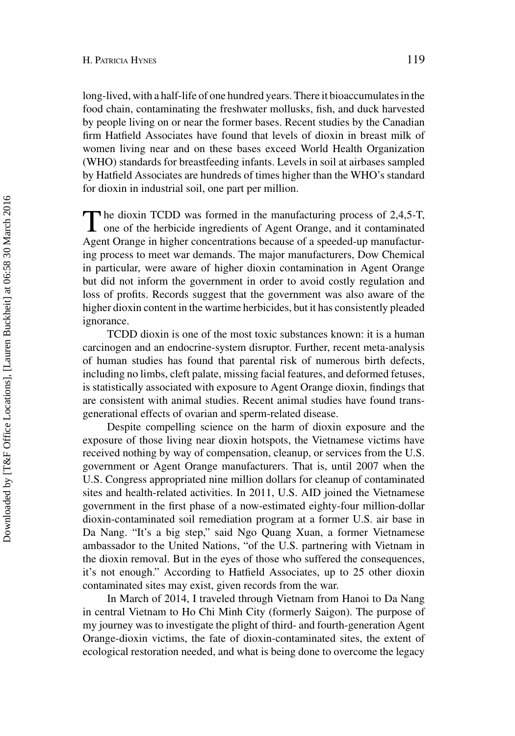long-lived, with a half-life of one hundred years. There it bioaccumulates in the food chain, contaminating the freshwater mollusks, fish, and duck harvested by people living on or near the former bases. Recent studies by the Canadian firm Hatfield Associates have found that levels of dioxin in breast milk of women living near and on these bases exceed World Health Organization (WHO) standards for breastfeeding infants. Levels in soil at airbases sampled by Hatfield Associates are hundreds of times higher than the WHO's standard for dioxin in industrial soil, one part per million.

The dioxin TCDD was formed in the manufacturing process of 2,4,5-T,<br>one of the herbicide ingredients of Agent Orange, and it contaminated Agent Orange in higher concentrations because of a speeded-up manufacturing process to meet war demands. The major manufacturers, Dow Chemical in particular, were aware of higher dioxin contamination in Agent Orange but did not inform the government in order to avoid costly regulation and loss of profits. Records suggest that the government was also aware of the higher dioxin content in the wartime herbicides, but it has consistently pleaded ignorance.

TCDD dioxin is one of the most toxic substances known: it is a human carcinogen and an endocrine-system disruptor. Further, recent meta-analysis of human studies has found that parental risk of numerous birth defects, including no limbs, cleft palate, missing facial features, and deformed fetuses, is statistically associated with exposure to Agent Orange dioxin, findings that are consistent with animal studies. Recent animal studies have found transgenerational effects of ovarian and sperm-related disease.

Despite compelling science on the harm of dioxin exposure and the exposure of those living near dioxin hotspots, the Vietnamese victims have received nothing by way of compensation, cleanup, or services from the U.S. government or Agent Orange manufacturers. That is, until 2007 when the U.S. Congress appropriated nine million dollars for cleanup of contaminated sites and health-related activities. In 2011, U.S. AID joined the Vietnamese government in the first phase of a now-estimated eighty-four million-dollar dioxin-contaminated soil remediation program at a former U.S. air base in Da Nang. "It's a big step," said Ngo Quang Xuan, a former Vietnamese ambassador to the United Nations, "of the U.S. partnering with Vietnam in the dioxin removal. But in the eyes of those who suffered the consequences, it's not enough." According to Hatfield Associates, up to 25 other dioxin contaminated sites may exist, given records from the war.

In March of 2014, I traveled through Vietnam from Hanoi to Da Nang in central Vietnam to Ho Chi Minh City (formerly Saigon). The purpose of my journey was to investigate the plight of third- and fourth-generation Agent Orange-dioxin victims, the fate of dioxin-contaminated sites, the extent of ecological restoration needed, and what is being done to overcome the legacy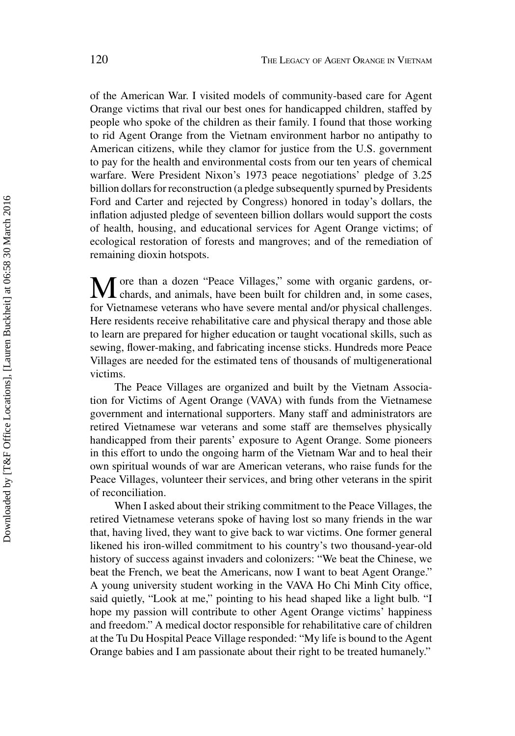of the American War. I visited models of community-based care for Agent Orange victims that rival our best ones for handicapped children, staffed by people who spoke of the children as their family. I found that those working to rid Agent Orange from the Vietnam environment harbor no antipathy to American citizens, while they clamor for justice from the U.S. government to pay for the health and environmental costs from our ten years of chemical warfare. Were President Nixon's 1973 peace negotiations' pledge of 3.25 billion dollars for reconstruction (a pledge subsequently spurned by Presidents Ford and Carter and rejected by Congress) honored in today's dollars, the inflation adjusted pledge of seventeen billion dollars would support the costs of health, housing, and educational services for Agent Orange victims; of ecological restoration of forests and mangroves; and of the remediation of remaining dioxin hotspots.

M ore than a dozen "Peace Villages," some with organic gardens, or-<br>chards, and animals, have been built for children and, in some cases, for Vietnamese veterans who have severe mental and/or physical challenges. Here residents receive rehabilitative care and physical therapy and those able to learn are prepared for higher education or taught vocational skills, such as sewing, flower-making, and fabricating incense sticks. Hundreds more Peace Villages are needed for the estimated tens of thousands of multigenerational victims.

The Peace Villages are organized and built by the Vietnam Association for Victims of Agent Orange (VAVA) with funds from the Vietnamese government and international supporters. Many staff and administrators are retired Vietnamese war veterans and some staff are themselves physically handicapped from their parents' exposure to Agent Orange. Some pioneers in this effort to undo the ongoing harm of the Vietnam War and to heal their own spiritual wounds of war are American veterans, who raise funds for the Peace Villages, volunteer their services, and bring other veterans in the spirit of reconciliation.

When I asked about their striking commitment to the Peace Villages, the retired Vietnamese veterans spoke of having lost so many friends in the war that, having lived, they want to give back to war victims. One former general likened his iron-willed commitment to his country's two thousand-year-old history of success against invaders and colonizers: "We beat the Chinese, we beat the French, we beat the Americans, now I want to beat Agent Orange." A young university student working in the VAVA Ho Chi Minh City office, said quietly, "Look at me," pointing to his head shaped like a light bulb. "I hope my passion will contribute to other Agent Orange victims' happiness and freedom." A medical doctor responsible for rehabilitative care of children at the Tu Du Hospital Peace Village responded: "My life is bound to the Agent Orange babies and I am passionate about their right to be treated humanely."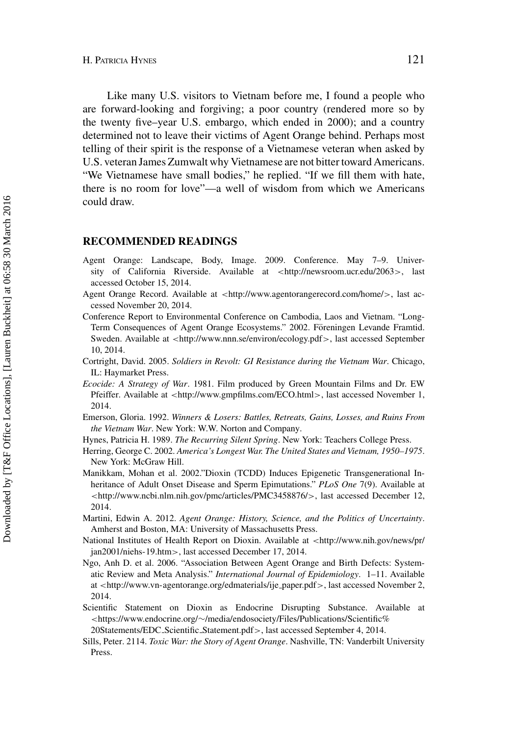Like many U.S. visitors to Vietnam before me, I found a people who are forward-looking and forgiving; a poor country (rendered more so by the twenty five–year U.S. embargo, which ended in 2000); and a country determined not to leave their victims of Agent Orange behind. Perhaps most telling of their spirit is the response of a Vietnamese veteran when asked by U.S. veteran James Zumwalt why Vietnamese are not bitter toward Americans. "We Vietnamese have small bodies," he replied. "If we fill them with hate, there is no room for love"—a well of wisdom from which we Americans could draw.

## **RECOMMENDED READINGS**

- Agent Orange: Landscape, Body, Image. 2009. Conference. May 7–9. University of California Riverside. Available at *<*http://newsroom.ucr.edu/2063*>*, last accessed October 15, 2014.
- Agent Orange Record. Available at *<*http://www.agentorangerecord.com/home/*>*, last accessed November 20, 2014.
- Conference Report to Environmental Conference on Cambodia, Laos and Vietnam. "Long-Term Consequences of Agent Orange Ecosystems." 2002. Föreningen Levande Framtid. Sweden. Available at *<*http://www.nnn.se/environ/ecology.pdf*>*, last accessed September 10, 2014.
- Cortright, David. 2005. *Soldiers in Revolt: GI Resistance during the Vietnam War*. Chicago, IL: Haymarket Press.
- *Ecocide: A Strategy of War*. 1981. Film produced by Green Mountain Films and Dr. EW Pfeiffer. Available at *<*http://www.gmpfilms.com/ECO.html*>*, last accessed November 1, 2014.
- Emerson, Gloria. 1992. *Winners & Losers: Battles, Retreats, Gains, Losses, and Ruins From the Vietnam War*. New York: W.W. Norton and Company.
- Hynes, Patricia H. 1989. *The Recurring Silent Spring*. New York: Teachers College Press.
- Herring, George C. 2002. *America's Longest War. The United States and Vietnam, 1950–1975*. New York: McGraw Hill.
- Manikkam, Mohan et al. 2002."Dioxin (TCDD) Induces Epigenetic Transgenerational Inheritance of Adult Onset Disease and Sperm Epimutations." *PLoS One* 7(9). Available at *<*http://www.ncbi.nlm.nih.gov/pmc/articles/PMC3458876/*>*, last accessed December 12, 2014.
- Martini, Edwin A. 2012. *Agent Orange: History, Science, and the Politics of Uncertainty*. Amherst and Boston, MA: University of Massachusetts Press.
- National Institutes of Health Report on Dioxin. Available at *<*http://www.nih.gov/news/pr/ jan2001/niehs-19.htm*>*, last accessed December 17, 2014.
- Ngo, Anh D. et al. 2006. "Association Between Agent Orange and Birth Defects: Systematic Review and Meta Analysis." *International Journal of Epidemiology*. 1–11. Available at *<*http://www.vn-agentorange.org/edmaterials/ije paper.pdf*>*, last accessed November 2, 2014.
- Scientific Statement on Dioxin as Endocrine Disrupting Substance. Available at *<*https://www.endocrine.org/∼/media/endosociety/Files/Publications/Scientific%

20Statements/EDC Scientific Statement.pdf*>*, last accessed September 4, 2014.

Sills, Peter. 2114. *Toxic War: the Story of Agent Orange*. Nashville, TN: Vanderbilt University Press.